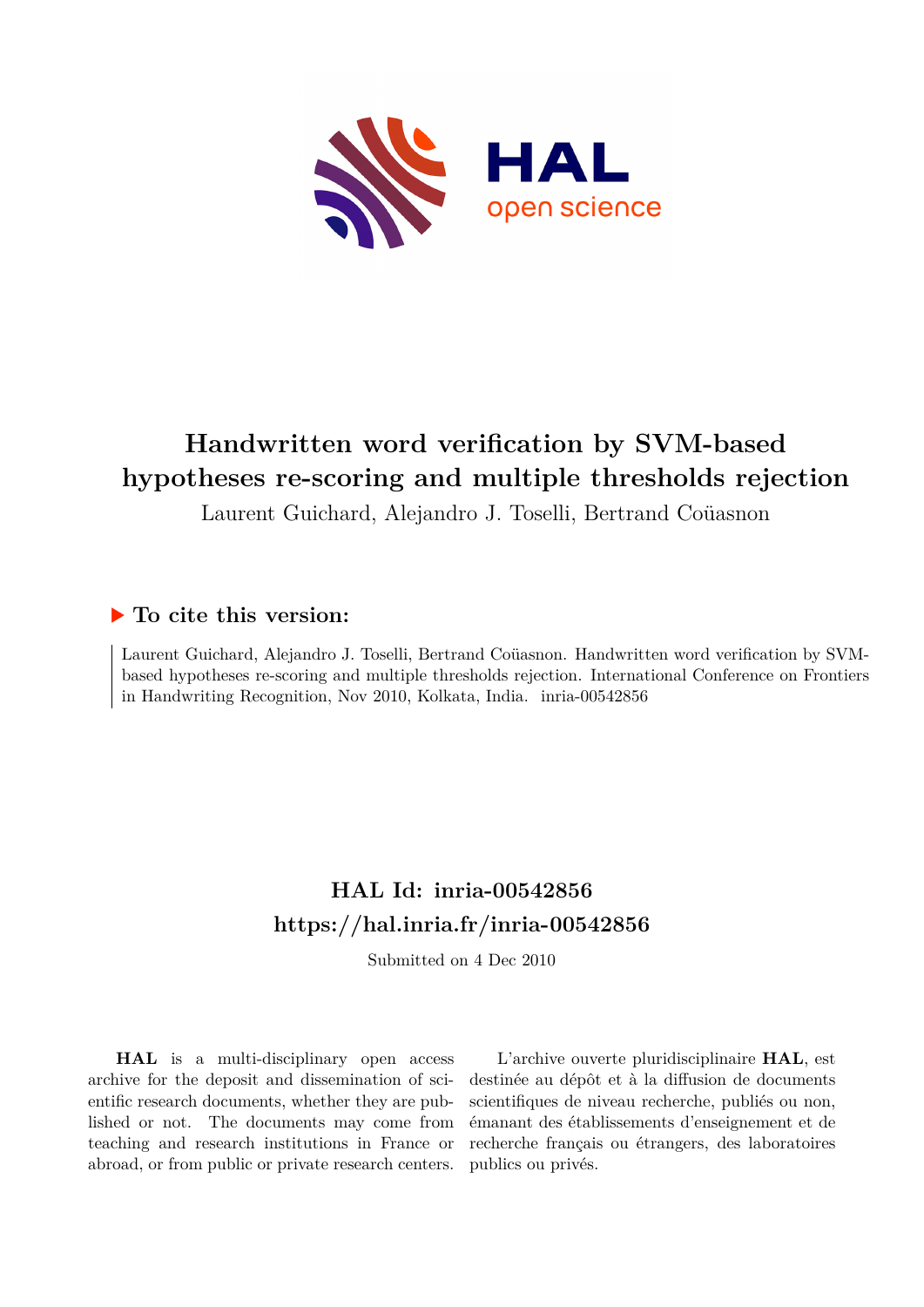

# **Handwritten word verification by SVM-based hypotheses re-scoring and multiple thresholds rejection**

Laurent Guichard, Alejandro J. Toselli, Bertrand Coüasnon

# **To cite this version:**

Laurent Guichard, Alejandro J. Toselli, Bertrand Coüasnon. Handwritten word verification by SVMbased hypotheses re-scoring and multiple thresholds rejection. International Conference on Frontiers in Handwriting Recognition, Nov 2010, Kolkata, India. inria-00542856

# **HAL Id: inria-00542856 <https://hal.inria.fr/inria-00542856>**

Submitted on 4 Dec 2010

**HAL** is a multi-disciplinary open access archive for the deposit and dissemination of scientific research documents, whether they are published or not. The documents may come from teaching and research institutions in France or abroad, or from public or private research centers.

L'archive ouverte pluridisciplinaire **HAL**, est destinée au dépôt et à la diffusion de documents scientifiques de niveau recherche, publiés ou non, émanant des établissements d'enseignement et de recherche français ou étrangers, des laboratoires publics ou privés.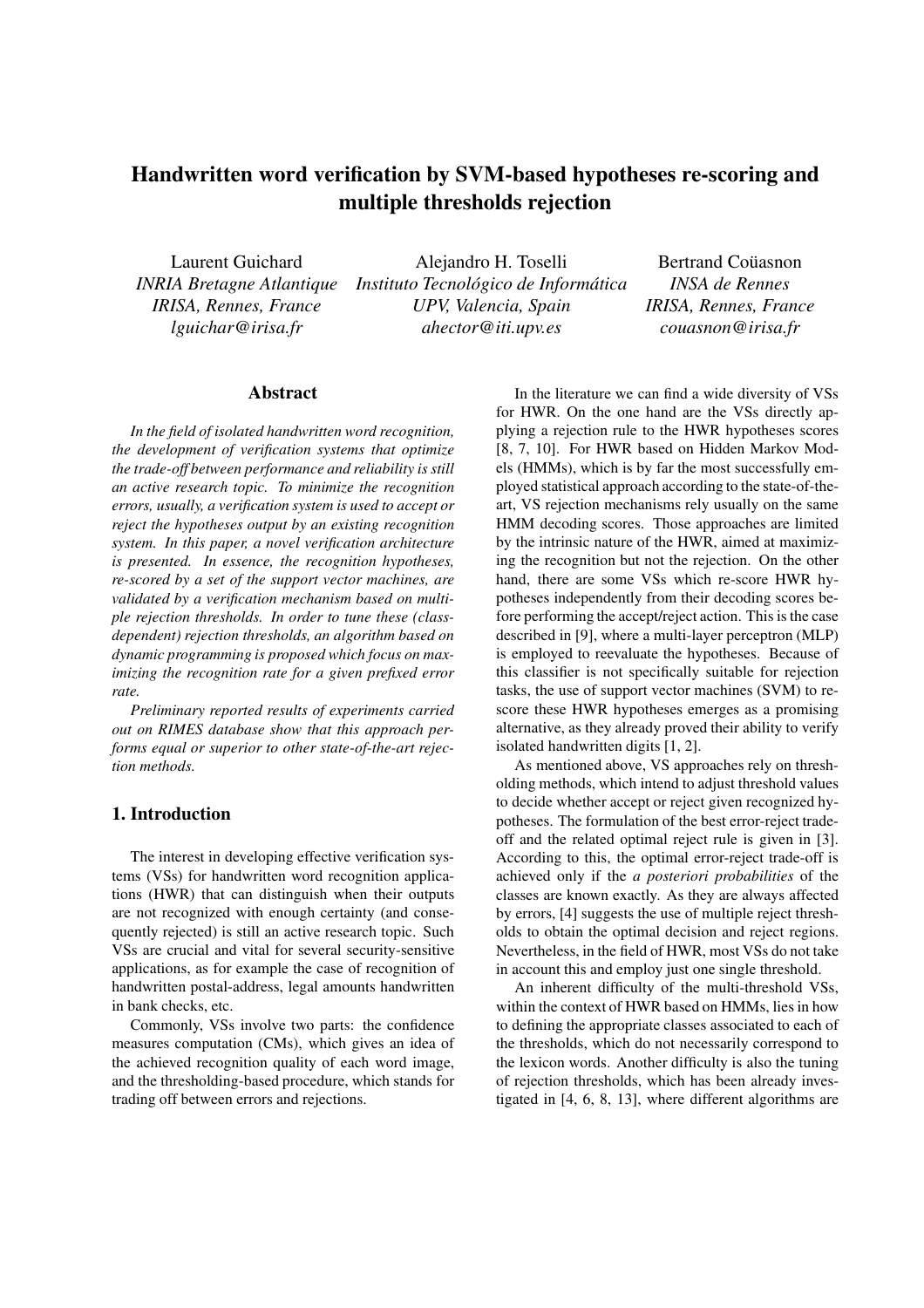# **Handwritten word verification by SVM-based hypotheses re-scoring and multiple thresholds rejection**

Laurent Guichard **Alejandro H. Toselli** Bertrand Coüasnon *INRIA Bretagne Atlantique Instituto Tecnológico de Informática <i>INSA de Rennes IRISA, Rennes, France UPV, Valencia, Spain IRISA, Rennes, France lguichar@irisa.fr ahector@iti.upv.es couasnon@irisa.fr*

#### **Abstract**

*In the field of isolated handwritten word recognition, the development of verification systems that optimize the trade-off between performance and reliability is still an active research topic. To minimize the recognition errors, usually, a verification system is used to accept or reject the hypotheses output by an existing recognition system. In this paper, a novel verification architecture is presented. In essence, the recognition hypotheses, re-scored by a set of the support vector machines, are validated by a verification mechanism based on multiple rejection thresholds. In order to tune these (classdependent) rejection thresholds, an algorithm based on dynamic programming is proposed which focus on maximizing the recognition rate for a given prefixed error rate.*

*Preliminary reported results of experiments carried out on RIMES database show that this approach performs equal or superior to other state-of-the-art rejection methods.*

## **1. Introduction**

The interest in developing effective verification systems (VSs) for handwritten word recognition applications (HWR) that can distinguish when their outputs are not recognized with enough certainty (and consequently rejected) is still an active research topic. Such VSs are crucial and vital for several security-sensitive applications, as for example the case of recognition of handwritten postal-address, legal amounts handwritten in bank checks, etc.

Commonly, VSs involve two parts: the confidence measures computation (CMs), which gives an idea of the achieved recognition quality of each word image, and the thresholding-based procedure, which stands for trading off between errors and rejections.

In the literature we can find a wide diversity of VSs for HWR. On the one hand are the VSs directly applying a rejection rule to the HWR hypotheses scores [8, 7, 10]. For HWR based on Hidden Markov Models (HMMs), which is by far the most successfully employed statistical approach according to the state-of-theart, VS rejection mechanisms rely usually on the same HMM decoding scores. Those approaches are limited by the intrinsic nature of the HWR, aimed at maximizing the recognition but not the rejection. On the other hand, there are some VSs which re-score HWR hypotheses independently from their decoding scores before performing the accept/reject action. This is the case described in [9], where a multi-layer perceptron (MLP) is employed to reevaluate the hypotheses. Because of this classifier is not specifically suitable for rejection tasks, the use of support vector machines (SVM) to rescore these HWR hypotheses emerges as a promising alternative, as they already proved their ability to verify isolated handwritten digits [1, 2].

As mentioned above, VS approaches rely on thresholding methods, which intend to adjust threshold values to decide whether accept or reject given recognized hypotheses. The formulation of the best error-reject tradeoff and the related optimal reject rule is given in [3]. According to this, the optimal error-reject trade-off is achieved only if the *a posteriori probabilities* of the classes are known exactly. As they are always affected by errors, [4] suggests the use of multiple reject thresholds to obtain the optimal decision and reject regions. Nevertheless, in the field of HWR, most VSs do not take in account this and employ just one single threshold.

An inherent difficulty of the multi-threshold VSs, within the context of HWR based on HMMs, lies in how to defining the appropriate classes associated to each of the thresholds, which do not necessarily correspond to the lexicon words. Another difficulty is also the tuning of rejection thresholds, which has been already investigated in [4, 6, 8, 13], where different algorithms are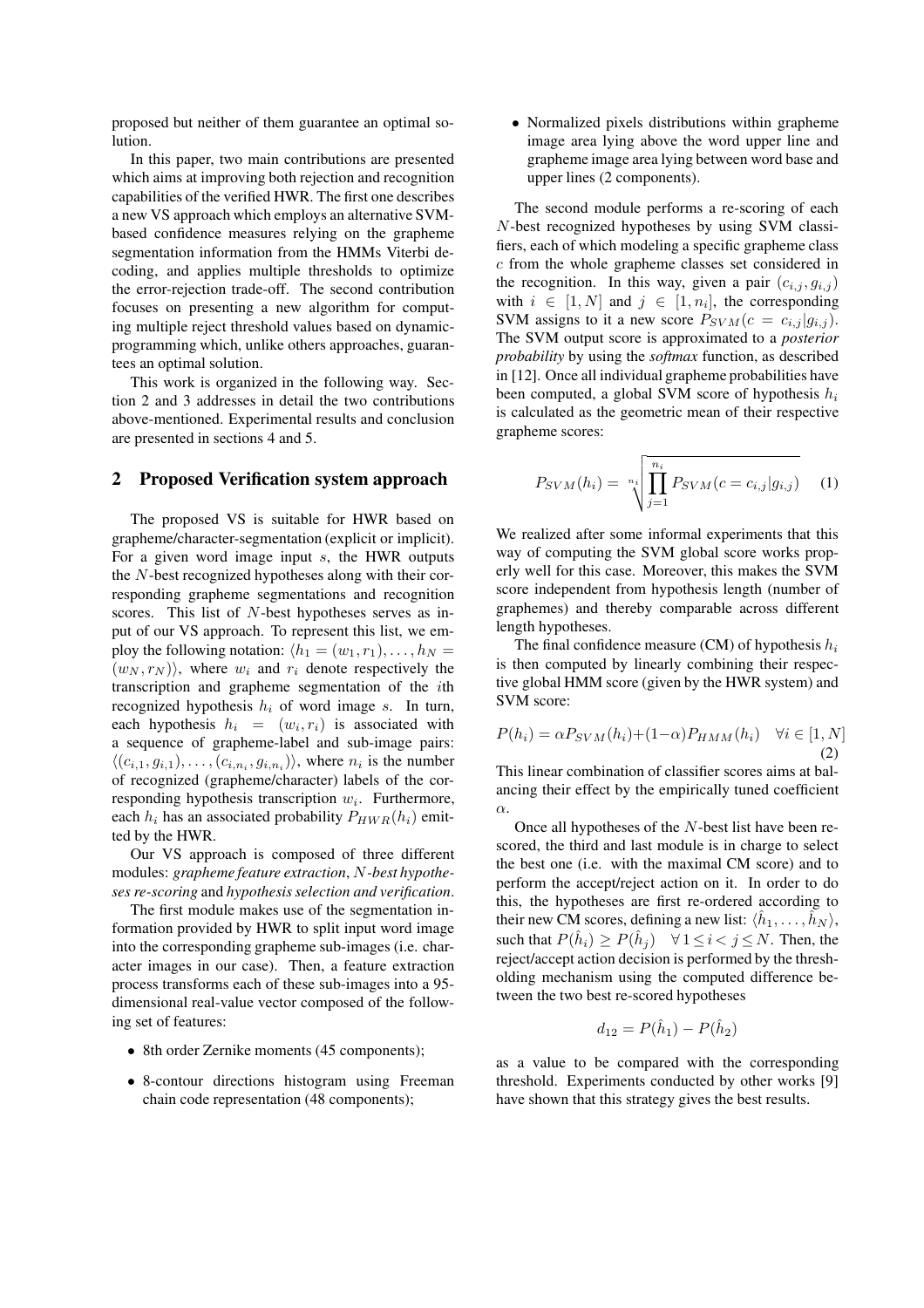proposed but neither of them guarantee an optimal solution.

In this paper, two main contributions are presented which aims at improving both rejection and recognition capabilities of the verified HWR. The first one describes a new VS approach which employs an alternative SVMbased confidence measures relying on the grapheme segmentation information from the HMMs Viterbi decoding, and applies multiple thresholds to optimize the error-rejection trade-off. The second contribution focuses on presenting a new algorithm for computing multiple reject threshold values based on dynamicprogramming which, unlike others approaches, guarantees an optimal solution.

This work is organized in the following way. Section 2 and 3 addresses in detail the two contributions above-mentioned. Experimental results and conclusion are presented in sections 4 and 5.

#### **2 Proposed Verification system approach**

The proposed VS is suitable for HWR based on grapheme/character-segmentation (explicit or implicit). For a given word image input s, the HWR outputs the N-best recognized hypotheses along with their corresponding grapheme segmentations and recognition scores. This list of N-best hypotheses serves as input of our VS approach. To represent this list, we employ the following notation:  $\langle h_1 = (w_1, r_1), \dots, h_N =$  $(w_N, r_N)$ , where  $w_i$  and  $r_i$  denote respectively the transcription and grapheme segmentation of the ith recognized hypothesis  $h_i$  of word image s. In turn, each hypothesis  $h_i = (w_i, r_i)$  is associated with a sequence of grapheme-label and sub-image pairs:  $\langle (c_{i,1}, g_{i,1}), \ldots, (c_{i,n_i}, g_{i,n_i}) \rangle$ , where  $n_i$  is the number of recognized (grapheme/character) labels of the corresponding hypothesis transcription  $w_i$ . Furthermore, each  $h_i$  has an associated probability  $P_{HWR}(h_i)$  emitted by the HWR.

Our VS approach is composed of three different modules: *grapheme feature extraction*, N*-best hypotheses re-scoring* and *hypothesis selection and verification*.

The first module makes use of the segmentation information provided by HWR to split input word image into the corresponding grapheme sub-images (i.e. character images in our case). Then, a feature extraction process transforms each of these sub-images into a 95 dimensional real-value vector composed of the following set of features:

- 8th order Zernike moments (45 components);
- 8-contour directions histogram using Freeman chain code representation (48 components);

• Normalized pixels distributions within grapheme image area lying above the word upper line and grapheme image area lying between word base and upper lines (2 components).

The second module performs a re-scoring of each N-best recognized hypotheses by using SVM classifiers, each of which modeling a specific grapheme class c from the whole grapheme classes set considered in the recognition. In this way, given a pair  $(c_{i,j}, g_{i,j})$ with  $i \in [1, N]$  and  $j \in [1, n_i]$ , the corresponding SVM assigns to it a new score  $P_{SVM}(c = c_{i,j} | g_{i,j}).$ The SVM output score is approximated to a *posterior probability* by using the *softmax* function, as described in [12]. Once all individual grapheme probabilities have been computed, a global SVM score of hypothesis  $h_i$ is calculated as the geometric mean of their respective grapheme scores:

$$
P_{SVM}(h_i) = \sqrt[n_i]{\prod_{j=1}^{n_i} P_{SVM}(c = c_{i,j}|g_{i,j})}
$$
 (1)

We realized after some informal experiments that this way of computing the SVM global score works properly well for this case. Moreover, this makes the SVM score independent from hypothesis length (number of graphemes) and thereby comparable across different length hypotheses.

The final confidence measure (CM) of hypothesis  $h_i$ is then computed by linearly combining their respective global HMM score (given by the HWR system) and SVM score:

$$
P(h_i) = \alpha P_{SVM}(h_i) + (1 - \alpha) P_{HMM}(h_i) \quad \forall i \in [1, N]
$$
\n(2)

This linear combination of classifier scores aims at balancing their effect by the empirically tuned coefficient α.

Once all hypotheses of the N-best list have been rescored, the third and last module is in charge to select the best one (i.e. with the maximal CM score) and to perform the accept/reject action on it. In order to do this, the hypotheses are first re-ordered according to their new CM scores, defining a new list:  $\langle \hat{h}_1, \ldots, \hat{h}_N \rangle$ , such that  $P(\hat{h}_i) \ge P(\hat{h}_j)$   $\forall 1 \le i < j \le N$ . Then, the reject/accept action decision is performed by the thresholding mechanism using the computed difference between the two best re-scored hypotheses

$$
d_{12} = P(\hat{h}_1) - P(\hat{h}_2)
$$

as a value to be compared with the corresponding threshold. Experiments conducted by other works [9] have shown that this strategy gives the best results.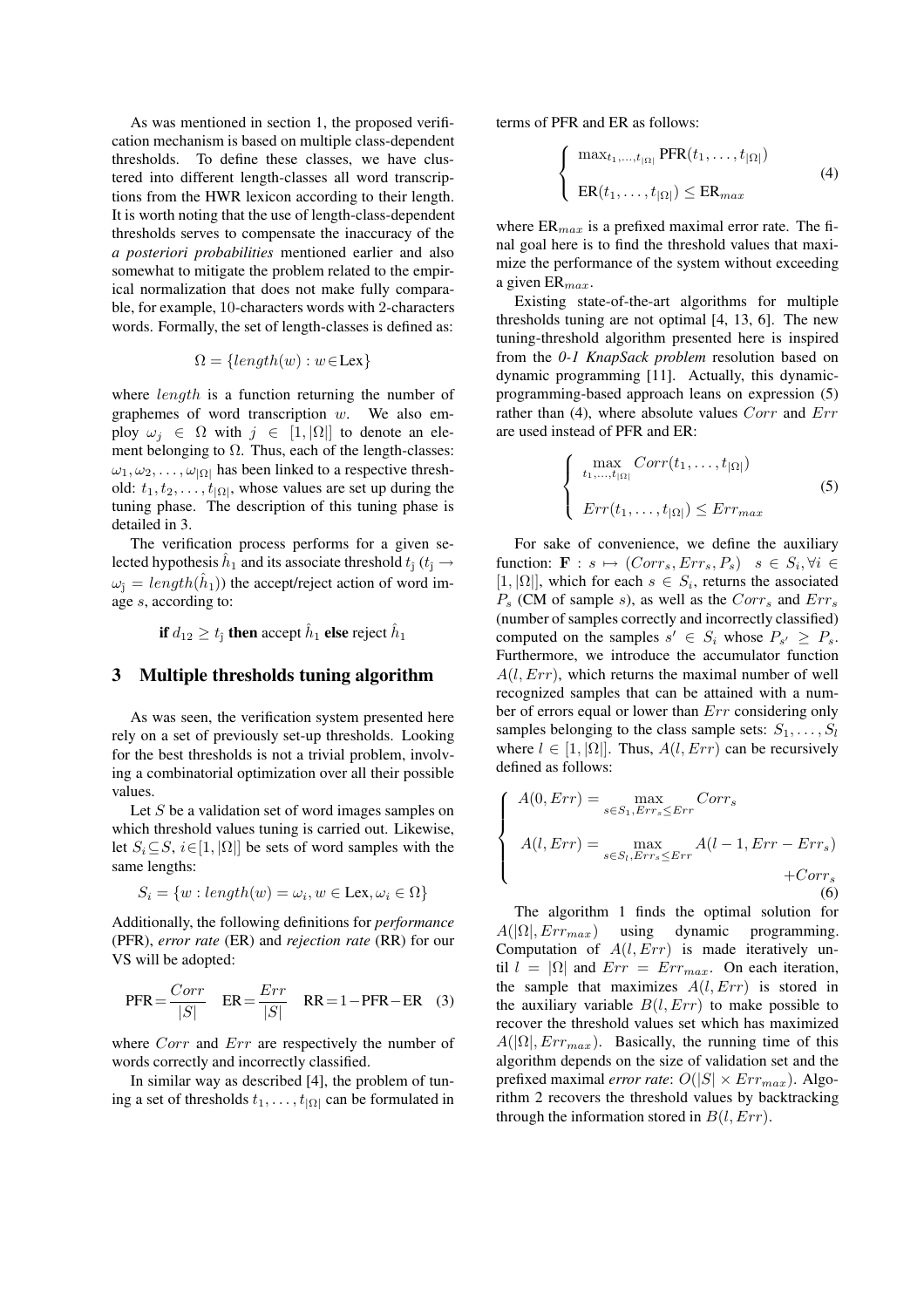As was mentioned in section 1, the proposed verification mechanism is based on multiple class-dependent thresholds. To define these classes, we have clustered into different length-classes all word transcriptions from the HWR lexicon according to their length. It is worth noting that the use of length-class-dependent thresholds serves to compensate the inaccuracy of the *a posteriori probabilities* mentioned earlier and also somewhat to mitigate the problem related to the empirical normalization that does not make fully comparable, for example, 10-characters words with 2-characters words. Formally, the set of length-classes is defined as:

$$
\Omega = \{length(w) : w \in \text{Lex}\}
$$

where *length* is a function returning the number of graphemes of word transcription w. We also employ  $\omega_j \in \Omega$  with  $j \in [1, |\Omega|]$  to denote an element belonging to  $\Omega$ . Thus, each of the length-classes:  $\omega_1, \omega_2, \ldots, \omega_{|\Omega|}$  has been linked to a respective threshold:  $t_1, t_2, \ldots, t_{|\Omega|}$ , whose values are set up during the tuning phase. The description of this tuning phase is detailed in 3.

The verification process performs for a given selected hypothesis  $\hat{h}_1$  and its associate threshold  $t_1$  ( $t_1 \rightarrow$  $\omega_{\hat{j}} = length(\hat{h}_1)$ ) the accept/reject action of word image s, according to:

**if**  $d_{12} \ge t_{\hat{\text{\j}} }$  **then** accept  $\hat{h}_1$  **else** reject  $\hat{h}_1$ 

### **3 Multiple thresholds tuning algorithm**

As was seen, the verification system presented here rely on a set of previously set-up thresholds. Looking for the best thresholds is not a trivial problem, involving a combinatorial optimization over all their possible values.

Let  $S$  be a validation set of word images samples on which threshold values tuning is carried out. Likewise, let  $S_i \subseteq S$ ,  $i \in [1, |\Omega|]$  be sets of word samples with the same lengths:

$$
S_i = \{w : length(w) = \omega_i, w \in \text{Lex}, \omega_i \in \Omega\}
$$

Additionally, the following definitions for *performance* (PFR), *error rate* (ER) and *rejection rate* (RR) for our VS will be adopted:

$$
PFR = \frac{Corr}{|S|} \quad ER = \frac{Err}{|S|} \quad RR = 1 - PFR - ER \quad (3)
$$

where *Corr* and *Err* are respectively the number of words correctly and incorrectly classified.

In similar way as described [4], the problem of tuning a set of thresholds  $t_1, \ldots, t_{|\Omega|}$  can be formulated in terms of PFR and ER as follows:

$$
\begin{cases}\n\max_{t_1,\ldots,t_{|\Omega|}} \text{PFR}(t_1,\ldots,t_{|\Omega|}) \\
\text{ER}(t_1,\ldots,t_{|\Omega|}) \leq \text{ER}_{max}\n\end{cases}
$$
\n(4)

where  $ER_{max}$  is a prefixed maximal error rate. The final goal here is to find the threshold values that maximize the performance of the system without exceeding a given  $ER_{max}$ .

Existing state-of-the-art algorithms for multiple thresholds tuning are not optimal [4, 13, 6]. The new tuning-threshold algorithm presented here is inspired from the *0-1 KnapSack problem* resolution based on dynamic programming [11]. Actually, this dynamicprogramming-based approach leans on expression (5) rather than (4), where absolute values Corr and Err are used instead of PFR and ER:

$$
\begin{cases}\n\max_{t_1,\dots,t_{|\Omega|}} Corr(t_1,\dots,t_{|\Omega|}) \\
Err(t_1,\dots,t_{|\Omega|}) \leq Err_{max}\n\end{cases}
$$
\n(5)

For sake of convenience, we define the auxiliary function:  $\mathbf{F}: s \mapsto (Corr_s, Err_s, P_s) \quad s \in S_i, \forall i \in$  $[1, |\Omega|]$ , which for each  $s \in S_i$ , returns the associated  $P_s$  (CM of sample s), as well as the  $Corr_s$  and  $Err_s$ (number of samples correctly and incorrectly classified) computed on the samples  $s' \in S_i$  whose  $P_{s'} \geq P_s$ . Furthermore, we introduce the accumulator function  $A(l, Err)$ , which returns the maximal number of well recognized samples that can be attained with a number of errors equal or lower than Err considering only samples belonging to the class sample sets:  $S_1, \ldots, S_l$ where  $l \in [1, |\Omega|]$ . Thus,  $A(l, Err)$  can be recursively defined as follows:

$$
\begin{cases}\nA(0, Err) = \max_{s \in S_1, Err_s \le Err}Corr_s \\
A(l, Err) = \max_{s \in S_l, Err_s \le Err} A(l-1, Err-Err_s) \\
+Corr_s \\
(6)\n\end{cases}
$$

The algorithm 1 finds the optimal solution for  $A(|\Omega|, Err_{max})$  using dynamic programming. Computation of  $A(l, Err)$  is made iteratively until  $l = |\Omega|$  and  $Err = Err_{max}$ . On each iteration, the sample that maximizes  $A(l, Err)$  is stored in the auxiliary variable  $B(l, Err)$  to make possible to recover the threshold values set which has maximized  $A(|\Omega|, Err_{max})$ . Basically, the running time of this algorithm depends on the size of validation set and the prefixed maximal *error rate*:  $O(|S| \times Err_{max})$ . Algorithm 2 recovers the threshold values by backtracking through the information stored in  $B(l, Err)$ .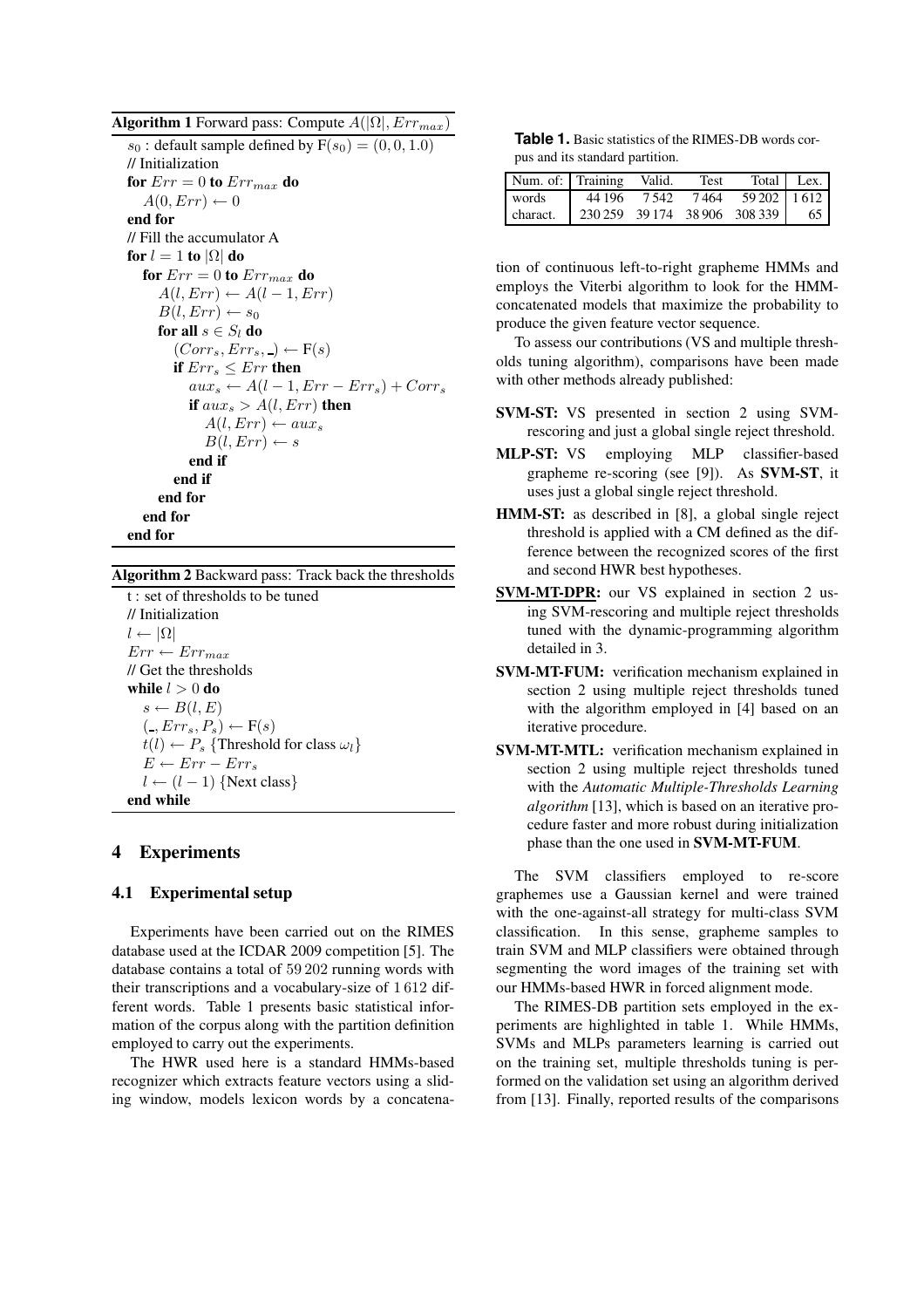### **Algorithm 1** Forward pass: Compute  $A(|\Omega|, Err_{max})$

 $s_0$ : default sample defined by  $F(s_0) = (0, 0, 1.0)$ // Initialization for  $Err = 0$  to  $Err_{max}$  do  $A(0, Err) \leftarrow 0$ **end for** // Fill the accumulator A **for**  $l = 1$  **to**  $|\Omega|$  **do for**  $Err = 0$  **to**  $Err_{max}$  **do**  $A(l, Err) \leftarrow A(l-1, Err)$  $B(l, Err) \leftarrow s_0$ **for all**  $s \in S_l$  **do**  $(Corr<sub>s</sub>, Err<sub>s</sub>, -) \leftarrow F(s)$ **if**  $Err_s \leq Err$  **then**  $aux_s \leftarrow A(l-1, Err-Err_s) + Corr_s$ **if**  $aux_s > A(l, Err)$  **then**  $A(l, Err) \leftarrow aux_s$  $B(l, Err) \leftarrow s$ **end if end if end for end for end for**

**Algorithm 2** Backward pass: Track back the thresholds

t : set of thresholds to be tuned // Initialization  $l \leftarrow |\Omega|$  $Err \leftarrow Err_{max}$ // Get the thresholds **while**  $l > 0$  **do**  $s \leftarrow B(l, E)$  $($ ,  $Err_s, P_s) \leftarrow F(s)$  $t(l) \leftarrow P_s$  {Threshold for class  $\omega_l$ }  $E \leftarrow Err-Err_s$  $l \leftarrow (l-1)$  {Next class} **end while**

#### **4 Experiments**

#### **4.1 Experimental setup**

Experiments have been carried out on the RIMES database used at the ICDAR 2009 competition [5]. The database contains a total of 59 202 running words with their transcriptions and a vocabulary-size of 1 612 different words. Table 1 presents basic statistical information of the corpus along with the partition definition employed to carry out the experiments.

The HWR used here is a standard HMMs-based recognizer which extracts feature vectors using a sliding window, models lexicon words by a concatena-

**Table 1.** Basic statistics of the RIMES-DB words corpus and its standard partition.

| Num. of: Training Valid. |        |      | Test |                               | Total Lex. |
|--------------------------|--------|------|------|-------------------------------|------------|
| words                    | 44 196 | 7542 |      | 7464 59202 1612               |            |
| charact.                 |        |      |      | 230 259 39 174 38 906 308 339 | 65 I       |

tion of continuous left-to-right grapheme HMMs and employs the Viterbi algorithm to look for the HMMconcatenated models that maximize the probability to produce the given feature vector sequence.

To assess our contributions (VS and multiple thresholds tuning algorithm), comparisons have been made with other methods already published:

- **SVM-ST:** VS presented in section 2 using SVMrescoring and just a global single reject threshold.
- **MLP-ST:** VS employing MLP classifier-based grapheme re-scoring (see [9]). As **SVM-ST**, it uses just a global single reject threshold.
- **HMM-ST:** as described in [8], a global single reject threshold is applied with a CM defined as the difference between the recognized scores of the first and second HWR best hypotheses.
- **SVM-MT-DPR:** our VS explained in section 2 using SVM-rescoring and multiple reject thresholds tuned with the dynamic-programming algorithm detailed in 3.
- **SVM-MT-FUM:** verification mechanism explained in section 2 using multiple reject thresholds tuned with the algorithm employed in [4] based on an iterative procedure.
- **SVM-MT-MTL:** verification mechanism explained in section 2 using multiple reject thresholds tuned with the *Automatic Multiple-Thresholds Learning algorithm* [13], which is based on an iterative procedure faster and more robust during initialization phase than the one used in **SVM-MT-FUM**.

The SVM classifiers employed to re-score graphemes use a Gaussian kernel and were trained with the one-against-all strategy for multi-class SVM classification. In this sense, grapheme samples to train SVM and MLP classifiers were obtained through segmenting the word images of the training set with our HMMs-based HWR in forced alignment mode.

The RIMES-DB partition sets employed in the experiments are highlighted in table 1. While HMMs, SVMs and MLPs parameters learning is carried out on the training set, multiple thresholds tuning is performed on the validation set using an algorithm derived from [13]. Finally, reported results of the comparisons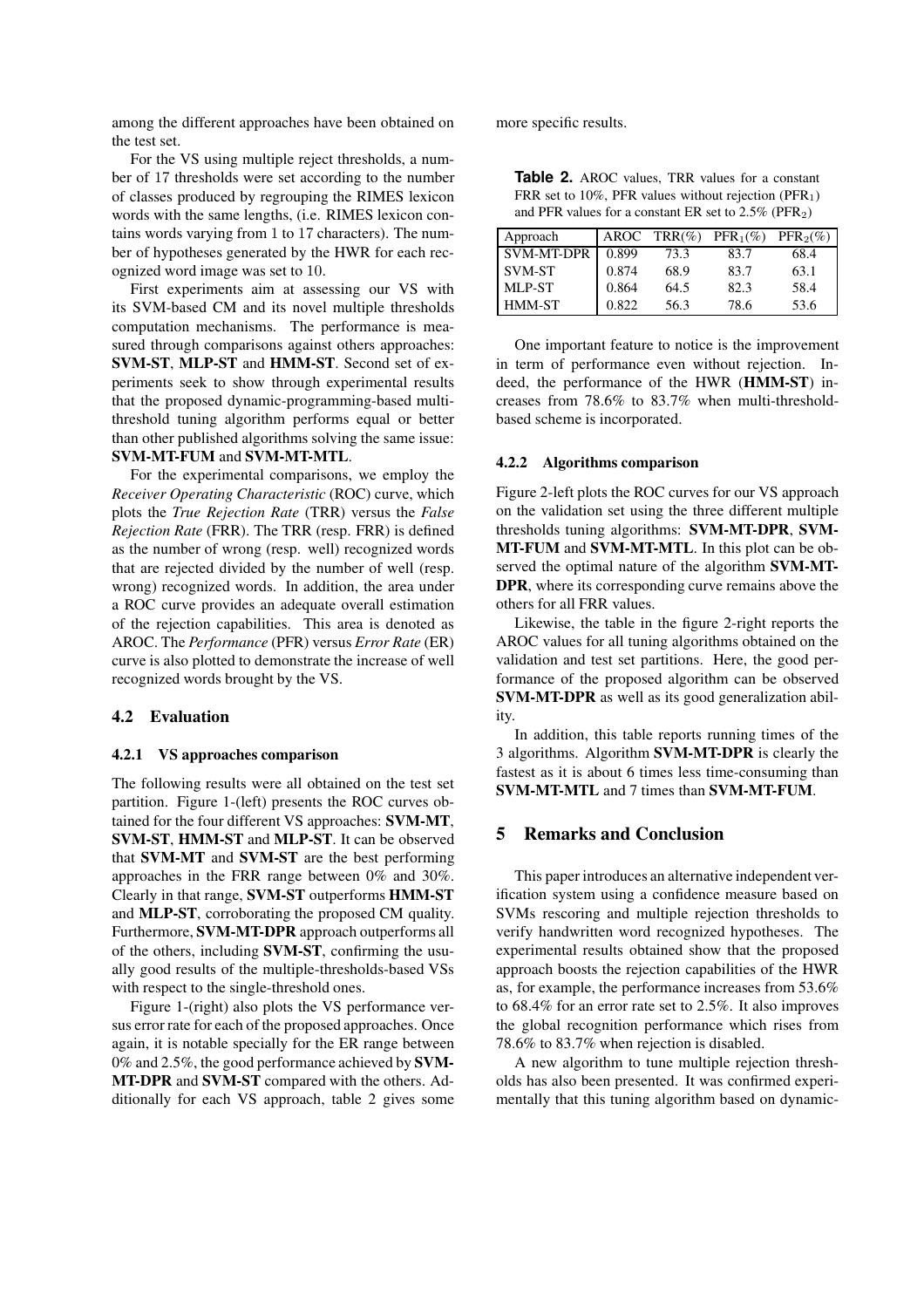among the different approaches have been obtained on the test set.

For the VS using multiple reject thresholds, a number of 17 thresholds were set according to the number of classes produced by regrouping the RIMES lexicon words with the same lengths, (i.e. RIMES lexicon contains words varying from 1 to 17 characters). The number of hypotheses generated by the HWR for each recognized word image was set to 10.

First experiments aim at assessing our VS with its SVM-based CM and its novel multiple thresholds computation mechanisms. The performance is measured through comparisons against others approaches: **SVM-ST**, **MLP-ST** and **HMM-ST**. Second set of experiments seek to show through experimental results that the proposed dynamic-programming-based multithreshold tuning algorithm performs equal or better than other published algorithms solving the same issue: **SVM-MT-FUM** and **SVM-MT-MTL**.

For the experimental comparisons, we employ the *Receiver Operating Characteristic* (ROC) curve, which plots the *True Rejection Rate* (TRR) versus the *False Rejection Rate* (FRR). The TRR (resp. FRR) is defined as the number of wrong (resp. well) recognized words that are rejected divided by the number of well (resp. wrong) recognized words. In addition, the area under a ROC curve provides an adequate overall estimation of the rejection capabilities. This area is denoted as AROC. The *Performance* (PFR) versus *Error Rate* (ER) curve is also plotted to demonstrate the increase of well recognized words brought by the VS.

#### **4.2 Evaluation**

#### **4.2.1 VS approaches comparison**

The following results were all obtained on the test set partition. Figure 1-(left) presents the ROC curves obtained for the four different VS approaches: **SVM-MT**, **SVM-ST**, **HMM-ST** and **MLP-ST**. It can be observed that **SVM-MT** and **SVM-ST** are the best performing approaches in the FRR range between 0% and 30%. Clearly in that range, **SVM-ST** outperforms **HMM-ST** and **MLP-ST**, corroborating the proposed CM quality. Furthermore, **SVM-MT-DPR** approach outperforms all of the others, including **SVM-ST**, confirming the usually good results of the multiple-thresholds-based VSs with respect to the single-threshold ones.

Figure 1-(right) also plots the VS performance versus error rate for each of the proposed approaches. Once again, it is notable specially for the ER range between 0% and 2.5%, the good performance achieved by **SVM-MT-DPR** and **SVM-ST** compared with the others. Additionally for each VS approach, table 2 gives some more specific results.

**Table 2.** AROC values, TRR values for a constant FRR set to 10%, PFR values without rejection (PFR<sub>1</sub>) and PFR values for a constant ER set to  $2.5\%$  (PFR<sub>2</sub>)

| Approach          | AROC  | $TRR(\%)$ | $PFR_1(\%)$ | $PFR2(\%)$ |
|-------------------|-------|-----------|-------------|------------|
| <b>SVM-MT-DPR</b> | 0.899 | 73.3      | 83.7        | 68.4       |
| <b>SVM-ST</b>     | 0.874 | 68.9      | 83.7        | 63.1       |
| MLP-ST            | 0.864 | 64.5      | 82.3        | 58.4       |
| <b>HMM-ST</b>     | 0.822 | 56.3      | 78.6        | 53.6       |

One important feature to notice is the improvement in term of performance even without rejection. Indeed, the performance of the HWR (**HMM-ST**) increases from 78.6% to 83.7% when multi-thresholdbased scheme is incorporated.

#### **4.2.2 Algorithms comparison**

Figure 2-left plots the ROC curves for our VS approach on the validation set using the three different multiple thresholds tuning algorithms: **SVM-MT-DPR**, **SVM-MT-FUM** and **SVM-MT-MTL**. In this plot can be observed the optimal nature of the algorithm **SVM-MT-DPR**, where its corresponding curve remains above the others for all FRR values.

Likewise, the table in the figure 2-right reports the AROC values for all tuning algorithms obtained on the validation and test set partitions. Here, the good performance of the proposed algorithm can be observed **SVM-MT-DPR** as well as its good generalization ability.

In addition, this table reports running times of the 3 algorithms. Algorithm **SVM-MT-DPR** is clearly the fastest as it is about 6 times less time-consuming than **SVM-MT-MTL** and 7 times than **SVM-MT-FUM**.

#### **5 Remarks and Conclusion**

This paper introduces an alternative independent verification system using a confidence measure based on SVMs rescoring and multiple rejection thresholds to verify handwritten word recognized hypotheses. The experimental results obtained show that the proposed approach boosts the rejection capabilities of the HWR as, for example, the performance increases from 53.6% to 68.4% for an error rate set to 2.5%. It also improves the global recognition performance which rises from 78.6% to 83.7% when rejection is disabled.

A new algorithm to tune multiple rejection thresholds has also been presented. It was confirmed experimentally that this tuning algorithm based on dynamic-